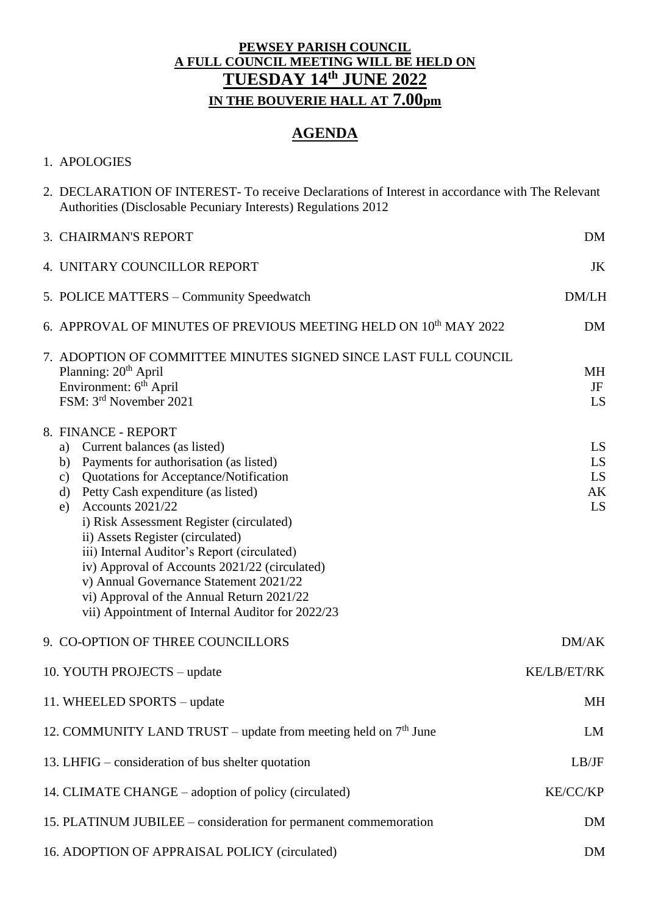### **PEWSEY PARISH COUNCIL A FULL COUNCIL MEETING WILL BE HELD ON TUESDAY 14 th JUNE 2022 IN THE BOUVERIE HALL AT 7.00pm**

# **AGENDA**

#### 1. APOLOGIES

| 2. DECLARATION OF INTEREST-To receive Declarations of Interest in accordance with The Relevant<br>Authorities (Disclosable Pecuniary Interests) Regulations 2012                                                                                                                                                                                                                                                                                                                                                                                           |                            |
|------------------------------------------------------------------------------------------------------------------------------------------------------------------------------------------------------------------------------------------------------------------------------------------------------------------------------------------------------------------------------------------------------------------------------------------------------------------------------------------------------------------------------------------------------------|----------------------------|
| 3. CHAIRMAN'S REPORT                                                                                                                                                                                                                                                                                                                                                                                                                                                                                                                                       | <b>DM</b>                  |
| 4. UNITARY COUNCILLOR REPORT                                                                                                                                                                                                                                                                                                                                                                                                                                                                                                                               | JK                         |
| 5. POLICE MATTERS – Community Speedwatch                                                                                                                                                                                                                                                                                                                                                                                                                                                                                                                   | DM/LH                      |
| 6. APPROVAL OF MINUTES OF PREVIOUS MEETING HELD ON 10 <sup>th</sup> MAY 2022                                                                                                                                                                                                                                                                                                                                                                                                                                                                               | <b>DM</b>                  |
| 7. ADOPTION OF COMMITTEE MINUTES SIGNED SINCE LAST FULL COUNCIL<br>Planning: 20 <sup>th</sup> April<br>Environment: 6 <sup>th</sup> April<br>FSM: 3rd November 2021                                                                                                                                                                                                                                                                                                                                                                                        | <b>MH</b><br>JF<br>LS      |
| 8. FINANCE - REPORT<br>Current balances (as listed)<br>a)<br>Payments for authorisation (as listed)<br>b)<br>Quotations for Acceptance/Notification<br>c)<br>Petty Cash expenditure (as listed)<br>d)<br>Accounts 2021/22<br>e)<br>i) Risk Assessment Register (circulated)<br>ii) Assets Register (circulated)<br>iii) Internal Auditor's Report (circulated)<br>iv) Approval of Accounts 2021/22 (circulated)<br>v) Annual Governance Statement 2021/22<br>vi) Approval of the Annual Return 2021/22<br>vii) Appointment of Internal Auditor for 2022/23 | LS<br>LS<br>LS<br>AK<br>LS |
| 9. CO-OPTION OF THREE COUNCILLORS                                                                                                                                                                                                                                                                                                                                                                                                                                                                                                                          | DM/AK                      |
| 10. YOUTH PROJECTS – update                                                                                                                                                                                                                                                                                                                                                                                                                                                                                                                                | KE/LB/ET/RK                |
| 11. WHEELED SPORTS - update                                                                                                                                                                                                                                                                                                                                                                                                                                                                                                                                | MH                         |
| 12. COMMUNITY LAND TRUST – update from meeting held on $7th$ June                                                                                                                                                                                                                                                                                                                                                                                                                                                                                          | LM                         |
| 13. LHFIG – consideration of bus shelter quotation                                                                                                                                                                                                                                                                                                                                                                                                                                                                                                         | LB/IF                      |
| 14. CLIMATE CHANGE – adoption of policy (circulated)                                                                                                                                                                                                                                                                                                                                                                                                                                                                                                       | KE/CC/KP                   |
| 15. PLATINUM JUBILEE – consideration for permanent commemoration                                                                                                                                                                                                                                                                                                                                                                                                                                                                                           | <b>DM</b>                  |
| 16. ADOPTION OF APPRAISAL POLICY (circulated)                                                                                                                                                                                                                                                                                                                                                                                                                                                                                                              | <b>DM</b>                  |